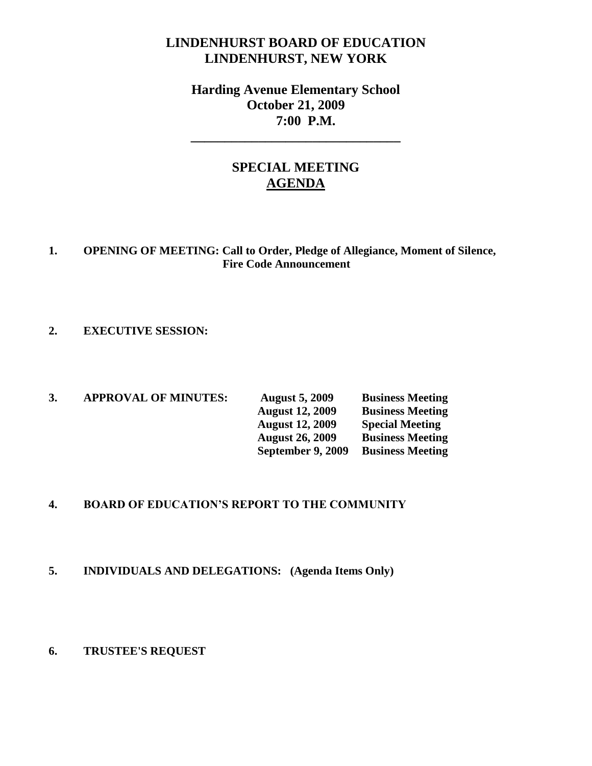# **LINDENHURST BOARD OF EDUCATION LINDENHURST, NEW YORK**

# **Harding Avenue Elementary School October 21, 2009 7:00 P.M.**

**\_\_\_\_\_\_\_\_\_\_\_\_\_\_\_\_\_\_\_\_\_\_\_\_\_\_\_\_\_\_\_**

# **SPECIAL MEETING AGENDA**

### **1. OPENING OF MEETING: Call to Order, Pledge of Allegiance, Moment of Silence, Fire Code Announcement**

### **2. EXECUTIVE SESSION:**

**3. APPROVAL OF MINUTES: August 5, 2009 Business Meeting August 12, 2009 Business Meeting August 12, 2009 Special Meeting August 26, 2009 Business Meeting September 9, 2009 Business Meeting** 

### **4. BOARD OF EDUCATION'S REPORT TO THE COMMUNITY**

### **5. INDIVIDUALS AND DELEGATIONS: (Agenda Items Only)**

#### **6. TRUSTEE'S REQUEST**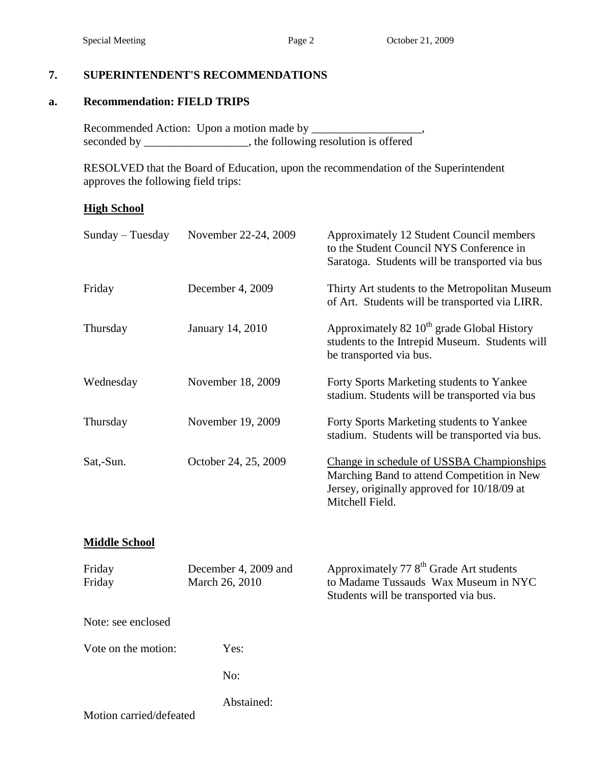## **7. SUPERINTENDENT'S RECOMMENDATIONS**

#### **a. Recommendation: FIELD TRIPS**

Recommended Action: Upon a motion made by \_\_\_\_\_\_\_\_\_\_\_\_\_\_\_\_\_, seconded by \_\_\_\_\_\_\_\_\_\_\_\_\_\_, the following resolution is offered

RESOLVED that the Board of Education, upon the recommendation of the Superintendent approves the following field trips:

### **High School**

| Sunday - Tuesday<br>November 22-24, 2009 |                                        | Approximately 12 Student Council members<br>to the Student Council NYS Conference in<br>Saratoga. Students will be transported via bus                    |  |  |
|------------------------------------------|----------------------------------------|-----------------------------------------------------------------------------------------------------------------------------------------------------------|--|--|
| Friday                                   | December 4, 2009                       | Thirty Art students to the Metropolitan Museum<br>of Art. Students will be transported via LIRR.                                                          |  |  |
| Thursday                                 | January 14, 2010                       | Approximately 82 $10^{th}$ grade Global History<br>students to the Intrepid Museum. Students will<br>be transported via bus.                              |  |  |
| Wednesday                                | November 18, 2009                      | Forty Sports Marketing students to Yankee<br>stadium. Students will be transported via bus                                                                |  |  |
| Thursday                                 | November 19, 2009                      | Forty Sports Marketing students to Yankee<br>stadium. Students will be transported via bus.                                                               |  |  |
| Sat,-Sun.                                | October 24, 25, 2009                   | Change in schedule of USSBA Championships<br>Marching Band to attend Competition in New<br>Jersey, originally approved for 10/18/09 at<br>Mitchell Field. |  |  |
| <b>Middle School</b>                     |                                        |                                                                                                                                                           |  |  |
| Friday<br>Friday                         | December 4, 2009 and<br>March 26, 2010 | Approximately 77 8 <sup>th</sup> Grade Art students<br>to Madame Tussauds Wax Museum in NYC<br>Students will be transported via bus.                      |  |  |
| Note: see enclosed                       |                                        |                                                                                                                                                           |  |  |
| Vote on the motion:                      | Yes:                                   |                                                                                                                                                           |  |  |
|                                          | No:                                    |                                                                                                                                                           |  |  |
|                                          | Abstained:                             |                                                                                                                                                           |  |  |
| Motion carried/defeated                  |                                        |                                                                                                                                                           |  |  |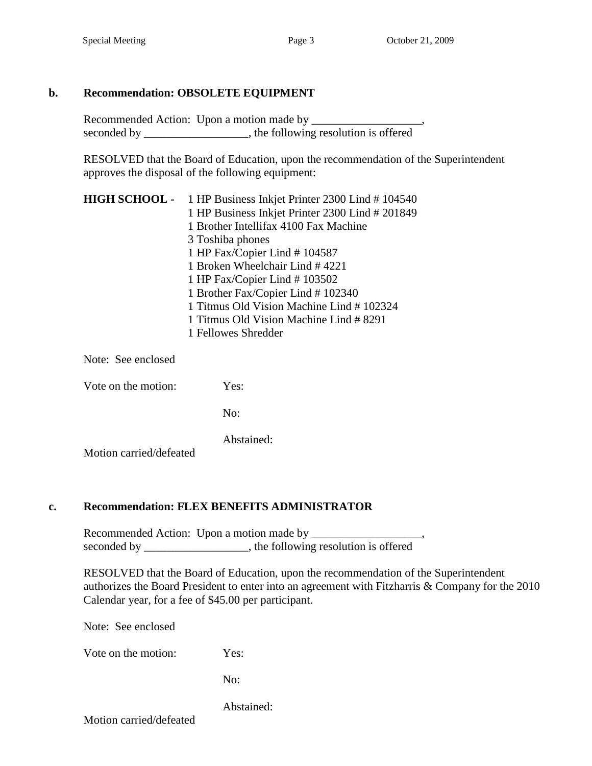## **b. Recommendation: OBSOLETE EQUIPMENT**

Recommended Action: Upon a motion made by \_\_\_\_\_\_\_\_\_\_\_\_\_\_\_\_\_\_\_, seconded by \_\_\_\_\_\_\_\_\_\_\_\_\_\_\_, the following resolution is offered

RESOLVED that the Board of Education, upon the recommendation of the Superintendent approves the disposal of the following equipment:

| <b>HIGH SCHOOL</b> - 1 HP Business Inkjet Printer 2300 Lind # 104540 |
|----------------------------------------------------------------------|
| 1 HP Business Inkjet Printer 2300 Lind # 201849                      |
| 1 Brother Intellifax 4100 Fax Machine                                |
| 3 Toshiba phones                                                     |
| 1 HP Fax/Copier Lind #104587                                         |
| 1 Broken Wheelchair Lind #4221                                       |
| 1 HP Fax/Copier Lind # 103502                                        |
| 1 Brother Fax/Copier Lind #102340                                    |
| 1 Titmus Old Vision Machine Lind #102324                             |
| 1 Titmus Old Vision Machine Lind # 8291                              |
| 1 Fellowes Shredder                                                  |

Note: See enclosed

Vote on the motion: Yes:

No:

Abstained:

Motion carried/defeated

### **c. Recommendation: FLEX BENEFITS ADMINISTRATOR**

Recommended Action: Upon a motion made by \_\_\_\_\_\_\_\_\_\_\_\_\_\_\_\_\_\_\_, seconded by \_\_\_\_\_\_\_\_\_\_\_\_\_\_\_\_, the following resolution is offered

RESOLVED that the Board of Education, upon the recommendation of the Superintendent authorizes the Board President to enter into an agreement with Fitzharris & Company for the 2010 Calendar year, for a fee of \$45.00 per participant.

Note: See enclosed

Vote on the motion: Yes:

No:

Abstained:

Motion carried/defeated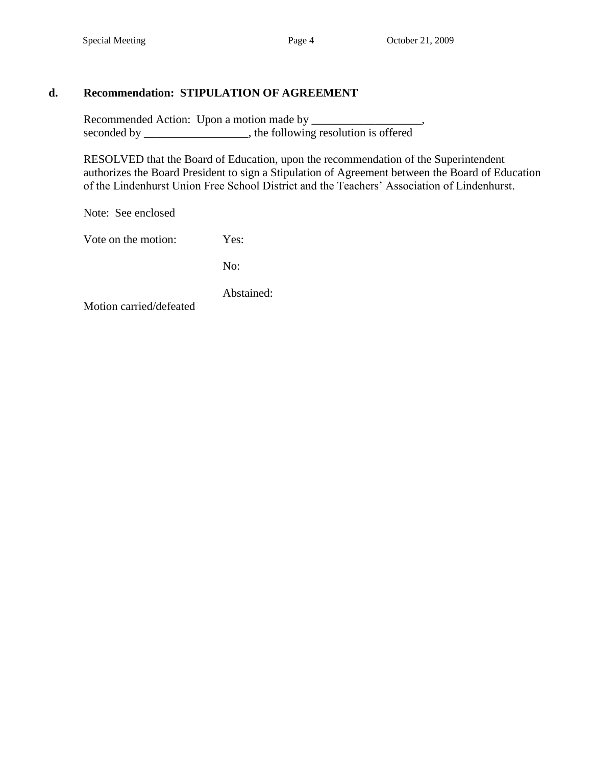# **d. Recommendation: STIPULATION OF AGREEMENT**

Recommended Action: Upon a motion made by \_\_\_\_\_\_\_\_\_\_\_\_\_\_\_\_\_\_\_, seconded by \_\_\_\_\_\_\_\_\_\_\_\_\_\_, the following resolution is offered

RESOLVED that the Board of Education, upon the recommendation of the Superintendent authorizes the Board President to sign a Stipulation of Agreement between the Board of Education of the Lindenhurst Union Free School District and the Teachers' Association of Lindenhurst.

Note: See enclosed

Vote on the motion: Yes:

No:

Abstained:

Motion carried/defeated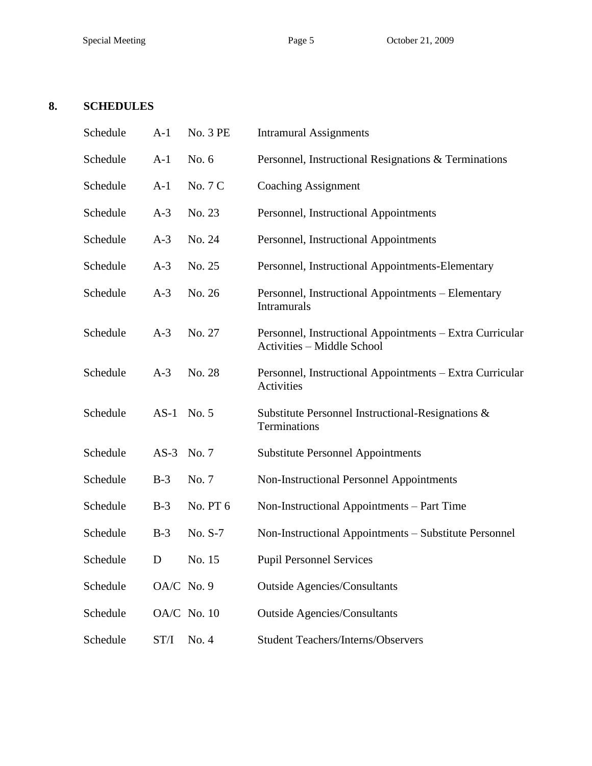# **8. SCHEDULES**

| Schedule | $A-1$      | No. 3 PE    | <b>Intramural Assignments</b>                                                                 |
|----------|------------|-------------|-----------------------------------------------------------------------------------------------|
| Schedule | $A-1$      | No. 6       | Personnel, Instructional Resignations & Terminations                                          |
| Schedule | $A-1$      | No. 7 C     | <b>Coaching Assignment</b>                                                                    |
| Schedule | $A-3$      | No. 23      | Personnel, Instructional Appointments                                                         |
| Schedule | $A-3$      | No. 24      | Personnel, Instructional Appointments                                                         |
| Schedule | $A-3$      | No. 25      | Personnel, Instructional Appointments-Elementary                                              |
| Schedule | $A-3$      | No. 26      | Personnel, Instructional Appointments - Elementary<br>Intramurals                             |
| Schedule | $A-3$      | No. 27      | Personnel, Instructional Appointments - Extra Curricular<br><b>Activities - Middle School</b> |
| Schedule | $A-3$      | No. 28      | Personnel, Instructional Appointments – Extra Curricular<br>Activities                        |
| Schedule | $AS-1$     | No. 5       | Substitute Personnel Instructional-Resignations &<br>Terminations                             |
| Schedule | AS-3 No. 7 |             | <b>Substitute Personnel Appointments</b>                                                      |
| Schedule | $B-3$      | No. 7       | Non-Instructional Personnel Appointments                                                      |
| Schedule | $B-3$      | No. PT 6    | Non-Instructional Appointments – Part Time                                                    |
| Schedule | $B-3$      | No. S-7     | Non-Instructional Appointments - Substitute Personnel                                         |
| Schedule | D          | No. 15      | <b>Pupil Personnel Services</b>                                                               |
| Schedule | OA/C No. 9 |             | <b>Outside Agencies/Consultants</b>                                                           |
| Schedule |            | OA/C No. 10 | <b>Outside Agencies/Consultants</b>                                                           |
| Schedule | ST/I       | No. 4       | <b>Student Teachers/Interns/Observers</b>                                                     |